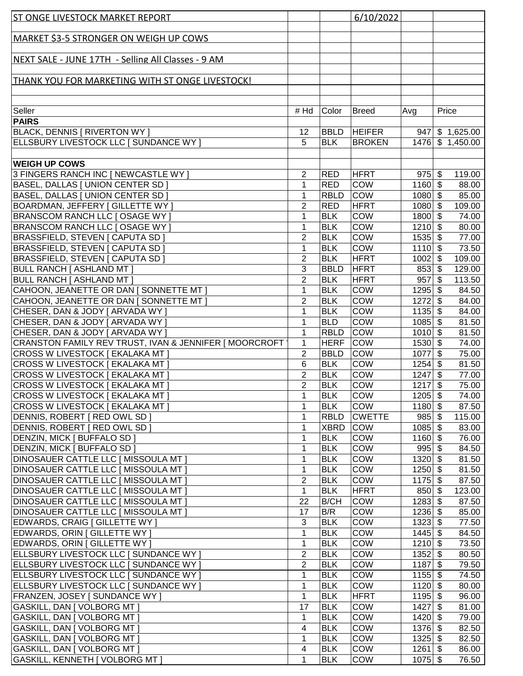| <b>ST ONGE LIVESTOCK MARKET REPORT</b>                                      |                     |                          | 6/10/2022                  |                        |                                    |
|-----------------------------------------------------------------------------|---------------------|--------------------------|----------------------------|------------------------|------------------------------------|
|                                                                             |                     |                          |                            |                        |                                    |
| <b>MARKET \$3-5 STRONGER ON WEIGH UP COWS</b>                               |                     |                          |                            |                        |                                    |
| NEXT SALE - JUNE 17TH - Selling All Classes - 9 AM                          |                     |                          |                            |                        |                                    |
|                                                                             |                     |                          |                            |                        |                                    |
| <b>THANK YOU FOR MARKETING WITH ST ONGE LIVESTOCK!</b>                      |                     |                          |                            |                        |                                    |
|                                                                             |                     |                          |                            |                        |                                    |
|                                                                             |                     |                          |                            |                        |                                    |
| Seller<br><b>PAIRS</b>                                                      | # Hd                | Color                    | <b>Breed</b>               | Avg                    | Price                              |
| <b>BLACK, DENNIS   RIVERTON WY  </b>                                        | 12                  | <b>BBLD</b>              | <b>HEIFER</b>              |                        | $947$ \$ 1,625.00                  |
| ELLSBURY LIVESTOCK LLC [ SUNDANCE WY ]                                      | 5                   | <b>BLK</b>               | <b>BROKEN</b>              |                        | 1476 \$1,450.00                    |
|                                                                             |                     |                          |                            |                        |                                    |
| <b>WEIGH UP COWS</b>                                                        |                     |                          |                            |                        |                                    |
| 3 FINGERS RANCH INC [ NEWCASTLE WY ]                                        | 2                   | <b>RED</b>               | <b>HFRT</b>                | $975$ \$               | 119.00                             |
| BASEL, DALLAS [ UNION CENTER SD ]                                           | 1                   | <b>RED</b>               | <b>COW</b>                 | $1160$ \$              | 88.00                              |
| BASEL, DALLAS [ UNION CENTER SD ]                                           | 1                   | <b>RBLD</b>              | <b>COW</b>                 | $1080$ \$              | 85.00                              |
| BOARDMAN, JEFFERY   GILLETTE WY                                             | $\overline{2}$      | <b>RED</b>               | <b>HFRT</b>                | $1080$ \$              | 109.00                             |
| BRANSCOM RANCH LLC [ OSAGE WY ]                                             | 1                   | <b>BLK</b>               | <b>COW</b>                 | $1800$ \$              | 74.00                              |
| <b>BRANSCOM RANCH LLC [ OSAGE WY ]</b>                                      | 1                   | <b>BLK</b>               | COW                        | $1210$ \$              | 80.00                              |
| <b>BRASSFIELD, STEVEN   CAPUTA SD  </b>                                     | $\overline{2}$      | <b>BLK</b>               | <b>COW</b>                 | $1535$ \$              | 77.00                              |
| <b>BRASSFIELD, STEVEN   CAPUTA SD  </b>                                     | 1<br>$\overline{2}$ | <b>BLK</b><br><b>BLK</b> | <b>COW</b>                 | $1110$ \$              | 73.50                              |
| <b>BRASSFIELD, STEVEN   CAPUTA SD  </b><br><b>BULL RANCH [ ASHLAND MT ]</b> | 3                   | <b>BBLD</b>              | <b>HFRT</b><br><b>HFRT</b> | $1002$ \$<br>$853$ \$  | 109.00<br>129.00                   |
| <b>BULL RANCH [ ASHLAND MT ]</b>                                            | $\overline{2}$      | <b>BLK</b>               | <b>HFRT</b>                | $957$ \$               | 113.50                             |
| CAHOON, JEANETTE OR DAN [ SONNETTE MT ]                                     | 1                   | <b>BLK</b>               | <b>COW</b>                 | $1295$ \$              | 84.50                              |
| CAHOON, JEANETTE OR DAN [ SONNETTE MT ]                                     | $\overline{2}$      | <b>BLK</b>               | <b>COW</b>                 | 1272                   | 84.00<br>\$                        |
| CHESER, DAN & JODY [ ARVADA WY ]                                            | $\mathbf{1}$        | <b>BLK</b>               | <b>COW</b>                 | $1135$ \$              | 84.00                              |
| CHESER, DAN & JODY [ ARVADA WY ]                                            | $\mathbf{1}$        | <b>BLD</b>               | COW                        | $1085$ \$              | 81.50                              |
| CHESER, DAN & JODY [ ARVADA WY ]                                            | $\mathbf{1}$        | <b>RBLD</b>              | <b>COW</b>                 | $1010$ \$              | 81.50                              |
| CRANSTON FAMILY REV TRUST, IVAN & JENNIFER [ MOORCROFT                      | 1                   | <b>HERF</b>              | <b>COW</b>                 | $1530$ \$              | 74.00                              |
| CROSS W LIVESTOCK [ EKALAKA MT ]                                            | $\overline{2}$      | <b>BBLD</b>              | <b>COW</b>                 | $1077$ \$              | 75.00                              |
| CROSS W LIVESTOCK [ EKALAKA MT ]                                            | 6                   | <b>BLK</b>               | <b>COW</b>                 | $1254$ \$              | 81.50                              |
| CROSS W LIVESTOCK [ EKALAKA MT ]                                            | $\overline{2}$      | <b>BLK</b>               | <b>COW</b>                 | $1247$ \$              | 77.00                              |
| CROSS W LIVESTOCK   EKALAKA MT ]                                            | $\overline{2}$      | <b>BLK</b>               | COW                        | 1217                   | $\boldsymbol{\mathsf{S}}$<br>75.00 |
| CROSS W LIVESTOCK [ EKALAKA MT ]                                            | 1                   | <b>BLK</b>               | <b>COW</b>                 | $1205 - $$             | 74.00                              |
| CROSS W LIVESTOCK   EKALAKA MT ]                                            | 1                   | <b>BLK</b>               | <b>COW</b>                 | $1180$ \$              | 87.50                              |
| DENNIS, ROBERT   RED OWL SD                                                 | 1                   | <b>RBLD</b>              | <b>CWETTE</b>              | $985$ \$               | 115.00                             |
| DENNIS, ROBERT   RED OWL SD                                                 | 1                   | <b>XBRD</b>              | <b>COW</b>                 | $1085$ \$              | 83.00                              |
| <b>DENZIN, MICK [ BUFFALO SD ]</b><br><b>DENZIN, MICK [ BUFFALO SD ]</b>    | 1<br>1              | <b>BLK</b>               | <b>COW</b><br><b>COW</b>   | $1160$ \$              | 76.00                              |
| DINOSAUER CATTLE LLC   MISSOULA MT                                          | 1                   | <b>BLK</b><br><b>BLK</b> | <b>COW</b>                 | $995$ \$<br>$1320$ \$  | 84.50<br>81.50                     |
| <b>DINOSAUER CATTLE LLC [ MISSOULA MT ]</b>                                 | 1                   | <b>BLK</b>               | <b>COW</b>                 | $1250$ \$              | 81.50                              |
| <b>DINOSAUER CATTLE LLC [ MISSOULA MT ]</b>                                 | $\overline{2}$      | <b>BLK</b>               | COW                        | $1175$ \$              | 87.50                              |
| DINOSAUER CATTLE LLC   MISSOULA MT                                          | $\mathbf{1}$        | <b>BLK</b>               | <b>HFRT</b>                | $850 $ \$              | 123.00                             |
| DINOSAUER CATTLE LLC [ MISSOULA MT ]                                        | 22                  | <b>B/CH</b>              | <b>COW</b>                 | $1283$ \$              | 87.50                              |
| <b>DINOSAUER CATTLE LLC [ MISSOULA MT ]</b>                                 | 17                  | B/R                      | <b>COW</b>                 | $1236$ \$              | 85.00                              |
| <b>EDWARDS, CRAIG   GILLETTE WY  </b>                                       | 3                   | <b>BLK</b>               | <b>COW</b>                 | $1323$ \$              | 77.50                              |
| EDWARDS, ORIN [ GILLETTE WY ]                                               | $\mathbf{1}$        | <b>BLK</b>               | <b>COW</b>                 | $1445$ \$              | 84.50                              |
| EDWARDS, ORIN [ GILLETTE WY ]                                               | 1                   | <b>BLK</b>               | <b>COW</b>                 | $1210$ \$              | 73.50                              |
| ELLSBURY LIVESTOCK LLC [ SUNDANCE WY ]                                      | $\overline{2}$      | <b>BLK</b>               | COW                        | 1352                   | \$<br>80.50                        |
| ELLSBURY LIVESTOCK LLC [ SUNDANCE WY ]                                      | $\overline{2}$      | <b>BLK</b>               | <b>COW</b>                 | 1187                   | \$<br>79.50                        |
| ELLSBURY LIVESTOCK LLC [ SUNDANCE WY ]                                      | 1                   | <b>BLK</b>               | <b>COW</b>                 | $1155$ \$              | 74.50                              |
| ELLSBURY LIVESTOCK LLC [ SUNDANCE WY ]                                      | 1                   | <b>BLK</b>               | <b>COW</b>                 | $1120$ \$              | 80.00                              |
| <b>FRANZEN, JOSEY [ SUNDANCE WY ]</b>                                       | 1                   | <b>BLK</b>               | <b>HFRT</b>                | $1195$ \$              | 96.00                              |
| GASKILL, DAN [ VOLBORG MT ]                                                 | 17                  | <b>BLK</b>               | <b>COW</b>                 | 1427                   | \$<br>81.00                        |
| GASKILL, DAN [ VOLBORG MT ]<br><b>GASKILL, DAN [ VOLBORG MT ]</b>           | 1<br>4              | <b>BLK</b><br><b>BLK</b> | <b>COW</b><br><b>COW</b>   | $1420$ \$<br>$1376$ \$ | 79.00                              |
| GASKILL, DAN [ VOLBORG MT ]                                                 | $\mathbf 1$         | <b>BLK</b>               | <b>COW</b>                 | $1325$ \$              | 82.50<br>82.50                     |
| GASKILL, DAN [ VOLBORG MT ]                                                 | 4                   | <b>BLK</b>               | <b>COW</b>                 | $1261$ \$              | 86.00                              |
| GASKILL, KENNETH [ VOLBORG MT ]                                             | $\mathbf{1}$        | <b>BLK</b>               | <b>COW</b>                 | $1075$ \$              | 76.50                              |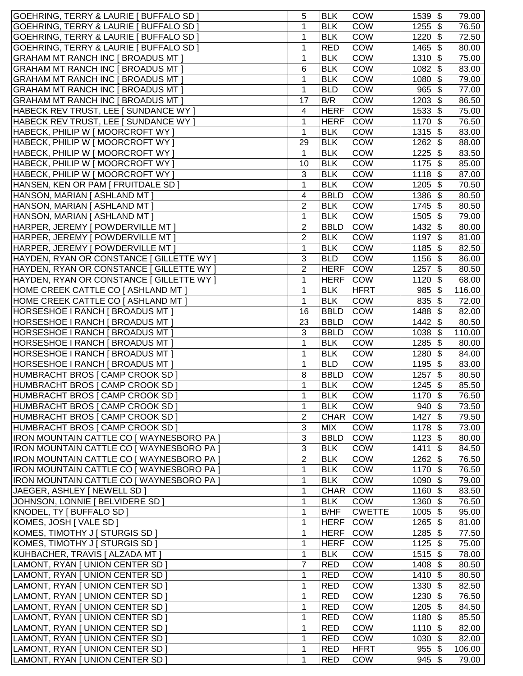| GOEHRING, TERRY & LAURIE   BUFFALO SD                                                  | 5                   | <b>BLK</b>                | <b>COW</b>                | $1539$ \$                | 79.00                       |
|----------------------------------------------------------------------------------------|---------------------|---------------------------|---------------------------|--------------------------|-----------------------------|
| GOEHRING, TERRY & LAURIE   BUFFALO SD                                                  | 1                   | <b>BLK</b>                | COW                       | $1255$ \$                | 76.50                       |
| GOEHRING, TERRY & LAURIE   BUFFALO SD                                                  | 1                   | <b>BLK</b>                | COW                       | 1220                     | \$<br>72.50                 |
| GOEHRING, TERRY & LAURIE   BUFFALO SD                                                  | 1                   | <b>RED</b>                | COW                       | 1465                     | \$<br>80.00                 |
| <b>GRAHAM MT RANCH INC [ BROADUS MT ]</b>                                              | 1                   | <b>BLK</b>                | <b>COW</b>                | 1310                     | 75.00<br>\$                 |
| <b>GRAHAM MT RANCH INC [ BROADUS MT ]</b>                                              | 6                   | <b>BLK</b>                | <b>COW</b>                | 1082                     | \$<br>83.00                 |
| GRAHAM MT RANCH INC [ BROADUS MT ]                                                     | 1                   | <b>BLK</b>                | <b>COW</b>                | $1080$ \$                | 79.00                       |
| GRAHAM MT RANCH INC [ BROADUS MT ]                                                     | 1                   | <b>BLD</b>                | COW                       | $965$ \$                 | 77.00                       |
| GRAHAM MT RANCH INC [ BROADUS MT ]                                                     | 17                  | B/R                       | COW                       | $1203$ \$                | 86.50                       |
| HABECK REV TRUST, LEE [ SUNDANCE WY ]                                                  | 4                   | <b>HERF</b>               | <b>COW</b>                | 1533                     | \$<br>75.00                 |
| HABECK REV TRUST, LEE [ SUNDANCE WY ]                                                  | 1                   | <b>HERF</b>               | <b>COW</b>                | $1170$ \$                | 76.50                       |
| HABECK, PHILIP W [ MOORCROFT WY ]                                                      | 1                   | <b>BLK</b>                | COW                       | $1315$ \$                | 83.00                       |
| HABECK, PHILIP W [ MOORCROFT WY ]                                                      | 29                  | <b>BLK</b>                | <b>COW</b>                | 1262                     | \$<br>88.00                 |
| HABECK, PHILIP W [ MOORCROFT WY ]                                                      | 1                   | <b>BLK</b>                | <b>COW</b>                | 1225                     | \$<br>83.50                 |
| HABECK, PHILIP W [ MOORCROFT WY ]                                                      | 10                  | <b>BLK</b>                | <b>COW</b>                | $1175$ \$                | 85.00                       |
| HABECK, PHILIP W [ MOORCROFT WY ]                                                      | 3                   | <b>BLK</b>                | COW                       | $1118$ \$                | 87.00                       |
| HANSEN, KEN OR PAM   FRUITDALE SD                                                      | 1                   | <b>BLK</b>                | <b>COW</b>                | $1205$ \$                | 70.50                       |
| HANSON, MARIAN   ASHLAND MT                                                            | 4                   | <b>BBLD</b>               | <b>COW</b>                | 1386                     | \$<br>80.50                 |
| HANSON, MARIAN [ ASHLAND MT ]                                                          | 2                   | <b>BLK</b>                | COW                       | 1745                     | \$<br>80.50                 |
| HANSON, MARIAN [ ASHLAND MT ]                                                          | 1                   | <b>BLK</b>                | COW                       | 1505                     | 79.00<br>\$                 |
| HARPER, JEREMY [ POWDERVILLE MT ]<br>HARPER, JEREMY   POWDERVILLE MT                   | 2<br>2              | <b>BBLD</b><br><b>BLK</b> | <b>COW</b><br><b>COW</b>  | 1432<br>1197             | \$<br>80.00<br>81.00<br>-\$ |
| HARPER, JEREMY [ POWDERVILLE MT ]                                                      | 1                   | <b>BLK</b>                | COW                       | $1185$ \$                | 82.50                       |
| HAYDEN, RYAN OR CONSTANCE [ GILLETTE WY ]                                              | 3                   | <b>BLD</b>                | <b>COW</b>                | $1156$ \$                | 86.00                       |
| HAYDEN, RYAN OR CONSTANCE [ GILLETTE WY ]                                              | $\overline{2}$      | <b>HERF</b>               | <b>COW</b>                | 1257                     | 80.50<br>-\$                |
| HAYDEN, RYAN OR CONSTANCE [ GILLETTE WY ]                                              | 1                   | <b>HERF</b>               | <b>COW</b>                | 1120                     | \$<br>68.00                 |
| HOME CREEK CATTLE CO   ASHLAND MT                                                      | 1                   | <b>BLK</b>                | <b>HFRT</b>               | 985                      | \$<br>116.00                |
| HOME CREEK CATTLE CO [ ASHLAND MT ]                                                    | 1                   | <b>BLK</b>                | COW                       | $835$ \$                 | 72.00                       |
| HORSESHOE I RANCH [ BROADUS MT ]                                                       | 16                  | <b>BBLD</b>               | COW                       | 1488                     | 82.00<br>\$                 |
| HORSESHOE I RANCH [ BROADUS MT ]                                                       | 23                  | <b>BBLD</b>               | <b>COW</b>                | $1442$ \$                | 80.50                       |
| HORSESHOE I RANCH [ BROADUS MT ]                                                       | 3                   | <b>BBLD</b>               | <b>COW</b>                | $1038$ \$                | 110.00                      |
| HORSESHOE I RANCH [ BROADUS MT ]                                                       | 1                   | <b>BLK</b>                | <b>COW</b>                | $1285$ \$                | 80.00                       |
| HORSESHOE I RANCH [ BROADUS MT ]                                                       | 1                   | <b>BLK</b>                | COW                       | $1280$ \$                | 84.00                       |
| HORSESHOE I RANCH   BROADUS MT ]                                                       | 1                   | <b>BLD</b>                | COW                       | $1195$ \$                | 83.00                       |
| HUMBRACHT BROS [ CAMP CROOK SD ]                                                       | 8                   | <b>BBLD</b>               | <b>COW</b>                | 1257                     | 80.50                       |
| HUMBRACHT BROS [ CAMP CROOK SD ]                                                       | 1                   | <b>BLK</b>                | <b>COW</b>                | 1245                     | \$<br>85.50                 |
| HUMBRACHT BROS [ CAMP CROOK SD ]                                                       | 1                   | BLK                       | COW                       | $1170$ \$                | 76.50                       |
| HUMBRACHT BROS [ CAMP CROOK SD ]                                                       | 1                   | <b>BLK</b>                | <b>COW</b>                | $940 $ \$                | 73.50                       |
| HUMBRACHT BROS   CAMP CROOK SD                                                         | 2                   | <b>CHAR</b>               | <b>COW</b>                | $1427$ \$                | 79.50                       |
| HUMBRACHT BROS [ CAMP CROOK SD ]                                                       | 3                   | <b>MIX</b>                | <b>COW</b>                | $1178$ \$                | 73.00                       |
| <b>IRON MOUNTAIN CATTLE CO   WAYNESBORO PA  </b>                                       | 3                   | <b>BBLD</b>               | <b>COW</b>                | $1123$ \$                | 80.00                       |
| IRON MOUNTAIN CATTLE CO   WAYNESBORO PA ]<br>IRON MOUNTAIN CATTLE CO   WAYNESBORO PA ] | 3<br>$\overline{2}$ | <b>BLK</b><br><b>BLK</b>  | <b>COW</b><br><b>COW</b>  | $1411$ \ \$<br>$1262$ \$ | 84.50<br>76.50              |
| IRON MOUNTAIN CATTLE CO   WAYNESBORO PA ]                                              | 1                   | <b>BLK</b>                | COW                       | $1170$ \$                | 76.50                       |
| IRON MOUNTAIN CATTLE CO   WAYNESBORO PA                                                | 1                   | <b>BLK</b>                | COW                       | $1090$ \$                | 79.00                       |
| JAEGER, ASHLEY   NEWELL SD                                                             | 1                   | <b>CHAR</b>               | <b>COW</b>                | $1160$ \$                | 83.50                       |
| JOHNSON, LONNIE   BELVIDERE SD                                                         | 1                   | <b>BLK</b>                | <b>COW</b>                | $1360$ \$                | 76.50                       |
| KNODEL, TY   BUFFALO SD                                                                | 1                   | B/HF                      | <b>CWETTE</b>             | $1005$ \$                | 95.00                       |
| KOMES, JOSH   VALE SD                                                                  | 1                   | <b>HERF</b>               | <b>COW</b>                | $1265$ \$                | 81.00                       |
| KOMES, TIMOTHY J   STURGIS SD                                                          | 1                   | <b>HERF</b>               | <b>COW</b>                | $1285$ \$                | 77.50                       |
| KOMES, TIMOTHY J [ STURGIS SD ]                                                        | 1                   | <b>HERF</b>               | <b>COW</b>                | $1125$ \$                | 75.00                       |
| KUHBACHER, TRAVIS   ALZADA MT ]                                                        | 1                   | <b>BLK</b>                | COW                       | $1515$ \$                | 78.00                       |
| LAMONT, RYAN [ UNION CENTER SD ]                                                       | 7                   | <b>RED</b>                | COW                       | $1408$ \$                | 80.50                       |
| LAMONT, RYAN [ UNION CENTER SD ]                                                       | 1                   | <b>RED</b>                | <b>COW</b>                | $1410$ \$                | 80.50                       |
| LAMONT, RYAN [ UNION CENTER SD ]                                                       | 1                   | <b>RED</b>                | <b>COW</b>                | $1330$ \$                | 82.50                       |
| LAMONT, RYAN [ UNION CENTER SD ]                                                       | 1                   | <b>RED</b>                | <b>COW</b>                | $1230$ \$                | 76.50                       |
| LAMONT, RYAN [ UNION CENTER SD ]                                                       | 1                   | <b>RED</b>                | <b>COW</b>                | $1205$ \$                | 84.50                       |
| LAMONT, RYAN [ UNION CENTER SD ]                                                       | 1                   | <b>RED</b>                | <b>COW</b>                | $1180$ \$                | 85.50                       |
| LAMONT, RYAN [ UNION CENTER SD ]                                                       | 1                   | <b>RED</b>                | <b>COW</b>                | $1110$ \$                | 82.00                       |
| LAMONT, RYAN [ UNION CENTER SD ]<br>LAMONT, RYAN [ UNION CENTER SD ]                   | 1<br>1              | <b>RED</b><br><b>RED</b>  | <b>COW</b><br><b>HFRT</b> | $1030$ \$<br>$955$ \$    | 82.00<br>106.00             |
| LAMONT, RYAN [ UNION CENTER SD ]                                                       | 1                   | <b>RED</b>                | <b>COW</b>                | $945$ \$                 | 79.00                       |
|                                                                                        |                     |                           |                           |                          |                             |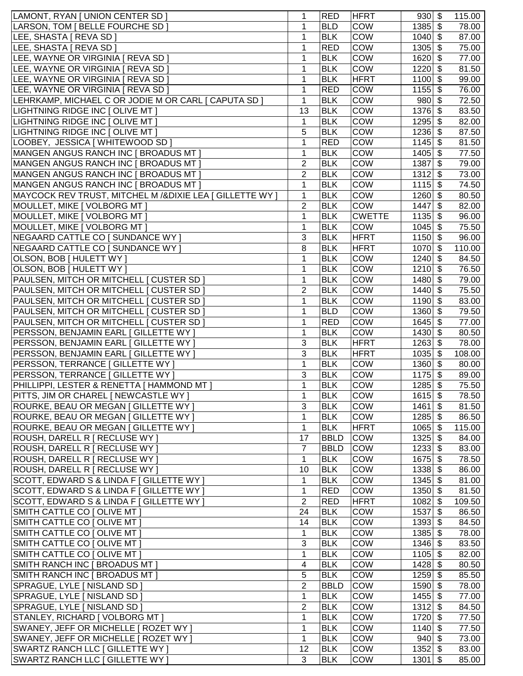| LAMONT, RYAN [ UNION CENTER SD ]                           | 1              | <b>RED</b>  | <b>HFRT</b>   | $930 $ \$                      | 115.00       |
|------------------------------------------------------------|----------------|-------------|---------------|--------------------------------|--------------|
| LARSON, TOM [ BELLE FOURCHE SD ]                           | 1              | <b>BLD</b>  | <b>COW</b>    | $1385$ \$                      | 78.00        |
| LEE, SHASTA   REVA SD ]                                    | 1              | <b>BLK</b>  | <b>COW</b>    | $1040$ \$                      | 87.00        |
| LEE, SHASTA   REVA SD ]                                    | 1              | <b>RED</b>  | COW           | 1305                           | \$<br>75.00  |
| LEE, WAYNE OR VIRGINIA [ REVA SD ]                         | 1              | <b>BLK</b>  | <b>COW</b>    | 1620                           | \$<br>77.00  |
| LEE, WAYNE OR VIRGINIA [ REVA SD ]                         | 1              | <b>BLK</b>  | <b>COW</b>    | 1220                           | \$<br>81.50  |
| LEE, WAYNE OR VIRGINIA [ REVA SD ]                         | 1              | <b>BLK</b>  | <b>HFRT</b>   | 1100                           | \$<br>99.00  |
| LEE, WAYNE OR VIRGINIA [ REVA SD ]                         | 1              | <b>RED</b>  | <b>COW</b>    | $1155$ \$                      | 76.00        |
| LEHRKAMP, MICHAEL C OR JODIE M OR CARL [ CAPUTA SD ]       | 1              | <b>BLK</b>  | <b>COW</b>    | $980 $ \$                      | 72.50        |
| LIGHTNING RIDGE INC [ OLIVE MT ]                           | 13             | <b>BLK</b>  | <b>COW</b>    | $1376$ \$                      | 83.50        |
| LIGHTNING RIDGE INC [ OLIVE MT ]                           | 1              | <b>BLK</b>  | <b>COW</b>    | $1295$ \$                      | 82.00        |
| LIGHTNING RIDGE INC [ OLIVE MT ]                           | 5              | <b>BLK</b>  | COW           | $1236$ \$                      | 87.50        |
| LOOBEY, JESSICA [ WHITEWOOD SD ]                           | 1              | <b>RED</b>  | COW           | $1145$ \$                      | 81.50        |
| MANGEN ANGUS RANCH INC [ BROADUS MT ]                      | 1              | <b>BLK</b>  | <b>COW</b>    | $1405$ \$                      | 77.50        |
| MANGEN ANGUS RANCH INC [ BROADUS MT ]                      | 2              | <b>BLK</b>  | COW           | 1387                           | \$<br>79.00  |
| MANGEN ANGUS RANCH INC [ BROADUS MT ]                      | 2              | <b>BLK</b>  | <b>COW</b>    | $1312$ \$                      | 73.00        |
| MANGEN ANGUS RANCH INC [ BROADUS MT ]                      | 1              | <b>BLK</b>  | COW           | $1115$ \$                      | 74.50        |
| MAYCOCK REV TRUST, MITCHEL M / & DIXIE LEA [ GILLETTE WY ] | 1              | <b>BLK</b>  | COW           | $1260$ \$                      | 80.50        |
|                                                            |                |             |               |                                |              |
| MOULLET, MIKE   VOLBORG MT                                 | 2              | <b>BLK</b>  | <b>COW</b>    | 1447                           | \$<br>82.00  |
| MOULLET, MIKE   VOLBORG MT                                 | 1              | <b>BLK</b>  | <b>CWETTE</b> | 1135                           | \$<br>96.00  |
| MOULLET, MIKE [ VOLBORG MT ]                               | 1              | <b>BLK</b>  | COW           | 1045                           | 75.50<br>\$  |
| NEGAARD CATTLE CO [ SUNDANCE WY ]                          | 3              | <b>BLK</b>  | <b>HFRT</b>   | 1150                           | 96.00<br>\$  |
| NEGAARD CATTLE CO [ SUNDANCE WY ]                          | 8              | <b>BLK</b>  | <b>HFRT</b>   | 1070                           | \$<br>110.00 |
| OLSON, BOB [ HULETT WY ]                                   | 1              | <b>BLK</b>  | <b>COW</b>    | $1240$ \$                      | 84.50        |
| OLSON, BOB [ HULETT WY ]                                   | 1              | <b>BLK</b>  | <b>COW</b>    | $1210$ \$                      | 76.50        |
| PAULSEN, MITCH OR MITCHELL [ CUSTER SD ]                   | 1              | <b>BLK</b>  | COW           | $1480$ \$                      | 79.00        |
| PAULSEN, MITCH OR MITCHELL   CUSTER SD                     | 2              | <b>BLK</b>  | COW           | $1440$ \$                      | 75.50        |
| PAULSEN, MITCH OR MITCHELL   CUSTER SD                     | 1              | <b>BLK</b>  | COW           | 1190                           | \$<br>83.00  |
| PAULSEN, MITCH OR MITCHELL   CUSTER SD                     | 1              | <b>BLD</b>  | COW           | 1360                           | \$<br>79.50  |
| PAULSEN, MITCH OR MITCHELL   CUSTER SD                     | 1              | <b>RED</b>  | COW           | $1645$ \$                      | 77.00        |
| PERSSON, BENJAMIN EARL [ GILLETTE WY ]                     | 1              | <b>BLK</b>  | COW           | $1430$ \$                      | 80.50        |
| PERSSON, BENJAMIN EARL [ GILLETTE WY ]                     | 3              | <b>BLK</b>  | <b>HFRT</b>   | $1263$ \$                      | 78.00        |
| PERSSON, BENJAMIN EARL [ GILLETTE WY ]                     | 3              | <b>BLK</b>  | <b>HFRT</b>   | $1035$ \$                      | 108.00       |
| PERSSON, TERRANCE [ GILLETTE WY ]                          | $\mathbf{1}$   | <b>BLK</b>  | COW           | $1360$ \$                      | 80.00        |
| PERSSON, TERRANCE [ GILLETTE WY ]                          | 3              | <b>BLK</b>  | COW           | 1175                           | \$<br>89.00  |
| PHILLIPPI, LESTER & RENETTA [ HAMMOND MT ]                 | $\mathbf{1}$   | <b>BLK</b>  | COW           | 1285                           | \$<br>75.50  |
| PITTS, JIM OR CHAREL [ NEWCASTLE WY ]                      | $\mathbf{1}$   | <b>BLK</b>  | <b>COW</b>    | $1615$ \$                      | 78.50        |
| ROURKE, BEAU OR MEGAN [ GILLETTE WY ]                      | 3              | <b>BLK</b>  | <b>COW</b>    | $1461$ \ \$                    | 81.50        |
| ROURKE, BEAU OR MEGAN [ GILLETTE WY ]                      | 1              | <b>BLK</b>  | <b>COW</b>    | $1285$ \$                      | 86.50        |
| ROURKE, BEAU OR MEGAN [ GILLETTE WY ]                      | 1              | <b>BLK</b>  | <b>HFRT</b>   | $1065$ \$                      | 115.00       |
| ROUSH, DARELL R [ RECLUSE WY ]                             | 17             | <b>BBLD</b> | <b>COW</b>    | $1325$ \$                      | 84.00        |
| ROUSH, DARELL R [ RECLUSE WY ]                             | $\overline{7}$ | <b>BBLD</b> | <b>COW</b>    | $1233$ \$                      | 83.00        |
| ROUSH, DARELL R   RECLUSE WY                               | 1              | <b>BLK</b>  | <b>COW</b>    | $1675$ \$                      | 78.50        |
| ROUSH, DARELL R [ RECLUSE WY ]                             | 10             | <b>BLK</b>  | <b>COW</b>    | $1338$ \$                      | 86.00        |
| SCOTT, EDWARD S & LINDA F [ GILLETTE WY ]                  | 1              | <b>BLK</b>  | COW           | $1345$ \$                      | 81.00        |
| SCOTT, EDWARD S & LINDA F [ GILLETTE WY ]                  | 1              | <b>RED</b>  | COW           | $1350$ \$                      | 81.50        |
| SCOTT, EDWARD S & LINDA F [ GILLETTE WY ]                  | $\overline{2}$ | <b>RED</b>  | <b>HFRT</b>   | $1082$ \$                      | 109.50       |
| SMITH CATTLE CO [ OLIVE MT ]                               | 24             | <b>BLK</b>  | <b>COW</b>    | $1537$ \$                      | 86.50        |
| SMITH CATTLE CO [ OLIVE MT ]                               | 14             | <b>BLK</b>  | COW           | $1393$ \$                      | 84.50        |
| SMITH CATTLE CO [ OLIVE MT ]                               | 1              | <b>BLK</b>  | COW           | $1385$ \$                      | 78.00        |
| SMITH CATTLE CO [ OLIVE MT ]                               | 3              | <b>BLK</b>  | COW           | $1346$ \$                      | 83.50        |
| SMITH CATTLE CO [ OLIVE MT ]                               | 1              | <b>BLK</b>  | COW           | $1105$ \$                      | 82.00        |
| SMITH RANCH INC [ BROADUS MT ]                             | 4              | <b>BLK</b>  | <b>COW</b>    | $1428$ \$                      | 80.50        |
| SMITH RANCH INC [ BROADUS MT ]                             | 5              | <b>BLK</b>  | <b>COW</b>    | $1259$ \$                      | 85.50        |
| SPRAGUE, LYLE [ NISLAND SD ]                               | 2              | <b>BBLD</b> | <b>COW</b>    | $1590$ \$                      | 78.00        |
| SPRAGUE, LYLE [ NISLAND SD ]                               | 1              | <b>BLK</b>  | <b>COW</b>    | $1455$ \$                      | 77.00        |
| SPRAGUE, LYLE [ NISLAND SD ]                               | 2              | <b>BLK</b>  | <b>COW</b>    | $1312$ \$                      | 84.50        |
| STANLEY, RICHARD   VOLBORG MT                              | 1              | <b>BLK</b>  | <b>COW</b>    | $1720$ \$                      | 77.50        |
| SWANEY, JEFF OR MICHELLE [ ROZET WY ]                      | 1              | <b>BLK</b>  | <b>COW</b>    | $1140$ \$                      | 77.50        |
| SWANEY, JEFF OR MICHELLE [ ROZET WY ]                      | $\mathbf 1$    | <b>BLK</b>  | <b>COW</b>    | $940 $ \$                      | 73.00        |
| SWARTZ RANCH LLC [ GILLETTE WY ]                           | 12             | <b>BLK</b>  | <b>COW</b>    | $1352 \overline{\smash{)}\,5}$ | 83.00        |
| SWARTZ RANCH LLC [ GILLETTE WY ]                           | 3              | <b>BLK</b>  | COW           | $1301$ \$                      | 85.00        |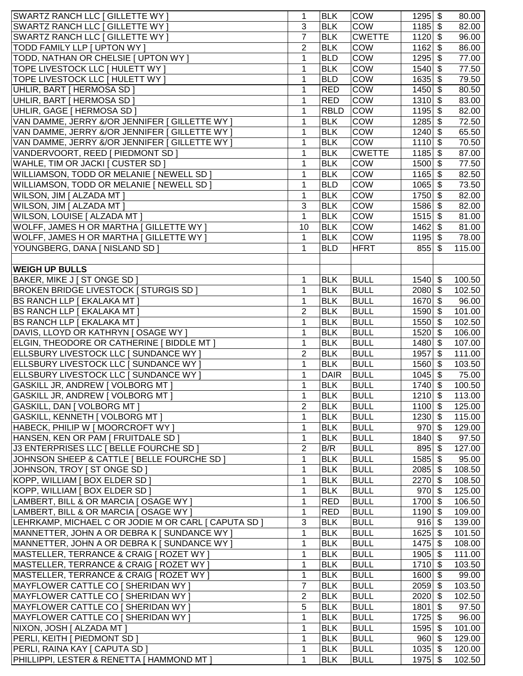| <b>SWARTZ RANCH LLC [ GILLETTE WY ]</b>              | 1              | <b>BLK</b>  | <b>COW</b>    | $1295$ \$ |                           | 80.00  |
|------------------------------------------------------|----------------|-------------|---------------|-----------|---------------------------|--------|
| <b>SWARTZ RANCH LLC [ GILLETTE WY ]</b>              | 3              | <b>BLK</b>  | COW           | $1185$ \$ |                           | 82.00  |
| SWARTZ RANCH LLC [ GILLETTE WY ]                     | $\overline{7}$ | <b>BLK</b>  | <b>CWETTE</b> | $1120$ \$ |                           | 96.00  |
| TODD FAMILY LLP [ UPTON WY ]                         | $\overline{2}$ | <b>BLK</b>  | <b>COW</b>    | $1162$ \$ |                           | 86.00  |
| TODD, NATHAN OR CHELSIE [ UPTON WY ]                 | 1              | <b>BLD</b>  | COW           | 1295      | \$                        | 77.00  |
| TOPE LIVESTOCK LLC [ HULETT WY ]                     | 1              | <b>BLK</b>  | <b>COW</b>    | $1540$ \$ |                           | 77.50  |
| TOPE LIVESTOCK LLC [ HULETT WY ]                     | 1              | <b>BLD</b>  | COW           | $1635$ \$ |                           | 79.50  |
| UHLIR, BART [ HERMOSA SD ]                           | 1              | <b>RED</b>  | COW           | $1450$ \$ |                           | 80.50  |
| UHLIR, BART   HERMOSA SD                             | 1              | <b>RED</b>  | COW           | $1310$ \$ |                           | 83.00  |
| UHLIR, GAGE [ HERMOSA SD ]                           | 1              | <b>RBLD</b> | <b>COW</b>    | $1195$ \$ |                           | 82.00  |
| VAN DAMME, JERRY &/OR JENNIFER [ GILLETTE WY ]       | 1              | <b>BLK</b>  | <b>COW</b>    | $1285$ \$ |                           | 72.50  |
| VAN DAMME, JERRY &/OR JENNIFER [ GILLETTE WY ]       | 1              | <b>BLK</b>  | COW           | $1240$ \$ |                           | 65.50  |
|                                                      | 1              | <b>BLK</b>  | COW           | $1110$ \$ |                           | 70.50  |
| VAN DAMME, JERRY &/OR JENNIFER   GILLETTE WY         | 1              | <b>BLK</b>  | <b>CWETTE</b> |           | $\boldsymbol{\mathsf{S}}$ |        |
| VANDERVOORT, REED   PIEDMONT SD                      |                |             |               | 1185      |                           | 87.00  |
| WAHLE, TIM OR JACKI [ CUSTER SD ]                    | 1              | <b>BLK</b>  | COW           | 1500      | \$                        | 77.50  |
| WILLIAMSON, TODD OR MELANIE   NEWELL SD              | 1              | <b>BLK</b>  | COW           | 1165      | \$                        | 82.50  |
| WILLIAMSON, TODD OR MELANIE   NEWELL SD ]            | 1              | <b>BLD</b>  | <b>COW</b>    | $1065$ \$ |                           | 73.50  |
| WILSON, JIM [ ALZADA MT ]                            | 1              | <b>BLK</b>  | COW           | $1750$ \$ |                           | 82.00  |
| WILSON, JIM [ ALZADA MT ]                            | 3              | <b>BLK</b>  | <b>COW</b>    | $1586$ \$ |                           | 82.00  |
| <b>WILSON, LOUISE [ ALZADA MT ]</b>                  | 1              | <b>BLK</b>  | COW           | $1515$ \$ |                           | 81.00  |
| <b>WOLFF, JAMES H OR MARTHA [ GILLETTE WY ]</b>      | 10             | <b>BLK</b>  | <b>COW</b>    | $1462$ \$ |                           | 81.00  |
| WOLFF, JAMES H OR MARTHA [ GILLETTE WY ]             | $\mathbf 1$    | <b>BLK</b>  | COW           | $1195$ \$ |                           | 78.00  |
| YOUNGBERG, DANA [ NISLAND SD ]                       | 1              | <b>BLD</b>  | <b>HFRT</b>   | $855$ \$  |                           | 115.00 |
|                                                      |                |             |               |           |                           |        |
| <b>WEIGH UP BULLS</b>                                |                |             |               |           |                           |        |
| BAKER, MIKE J [ ST ONGE SD ]                         | 1              | <b>BLK</b>  | <b>BULL</b>   | $1540$ \$ |                           | 100.50 |
| <b>BROKEN BRIDGE LIVESTOCK [ STURGIS SD ]</b>        | 1              | <b>BLK</b>  | <b>BULL</b>   | $2080$ \$ |                           | 102.50 |
| BS RANCH LLP [ EKALAKA MT ]                          | 1              | <b>BLK</b>  | <b>BULL</b>   | $1670$ \$ |                           | 96.00  |
| BS RANCH LLP [ EKALAKA MT ]                          | $\overline{2}$ | <b>BLK</b>  | <b>BULL</b>   | $1590$ \$ |                           | 101.00 |
| <b>BS RANCH LLP [ EKALAKA MT ]</b>                   | 1              | <b>BLK</b>  | <b>BULL</b>   | 1550      | $\boldsymbol{\mathsf{S}}$ | 102.50 |
| DAVIS, LLOYD OR KATHRYN   OSAGE WY ]                 | 1              | <b>BLK</b>  | <b>BULL</b>   | 1520      | \$                        | 106.00 |
| ELGIN, THEODORE OR CATHERINE [ BIDDLE MT ]           | 1              | <b>BLK</b>  | <b>BULL</b>   | 1480      | \$                        | 107.00 |
| ELLSBURY LIVESTOCK LLC [ SUNDANCE WY ]               | $\overline{2}$ | <b>BLK</b>  | <b>BULL</b>   | 1957      | $\boldsymbol{\mathsf{S}}$ | 111.00 |
| ELLSBURY LIVESTOCK LLC [ SUNDANCE WY ]               | 1              | <b>BLK</b>  | <b>BULL</b>   | $1560$ \$ |                           | 103.50 |
| ELLSBURY LIVESTOCK LLC [ SUNDANCE WY ]               | 1              | <b>DAIR</b> | <b>BULL</b>   | $1045$ \$ |                           | 75.00  |
| <b>GASKILL JR, ANDREW   VOLBORG MT  </b>             | 1              | <b>BLK</b>  | <b>BULL</b>   | $1740$ \$ |                           | 100.50 |
| GASKILL JR, ANDREW   VOLBORG MT                      | 1              | <b>BLK</b>  | <b>BULL</b>   | $1210$ \$ |                           | 113.00 |
| GASKILL, DAN [ VOLBORG MT ]                          | 2              | <b>BLK</b>  | <b>BULL</b>   | $1100$ \$ |                           | 125.00 |
| GASKILL, KENNETH [ VOLBORG MT ]                      | 1              | <b>BLK</b>  | <b>BULL</b>   | $1230$ \$ |                           | 115.00 |
| HABECK, PHILIP W [ MOORCROFT WY ]                    | 1              | <b>BLK</b>  | <b>BULL</b>   | $970$ \$  |                           | 129.00 |
| HANSEN, KEN OR PAM [ FRUITDALE SD ]                  | 1              | <b>BLK</b>  | <b>BULL</b>   | $1840$ \$ |                           | 97.50  |
| J3 ENTERPRISES LLC   BELLE FOURCHE SD                | $\overline{2}$ | B/R         | <b>BULL</b>   | $895$ \$  |                           | 127.00 |
| JOHNSON SHEEP & CATTLE   BELLE FOURCHE SD            | 1              | <b>BLK</b>  | <b>BULL</b>   | $1585$ \$ |                           | 95.00  |
| JOHNSON, TROY   ST ONGE SD                           | 1              | <b>BLK</b>  | <b>BULL</b>   | $2085$ \$ |                           | 108.50 |
| KOPP, WILLIAM [ BOX ELDER SD ]                       | 1              | <b>BLK</b>  | <b>BULL</b>   | $2270$ \$ |                           | 108.50 |
| KOPP, WILLIAM [ BOX ELDER SD ]                       | 1              | <b>BLK</b>  | <b>BULL</b>   | $970$ \$  |                           | 125.00 |
| LAMBERT, BILL & OR MARCIA [ OSAGE WY ]               | 1              | <b>RED</b>  | <b>BULL</b>   | $1700$ \$ |                           | 106.50 |
| LAMBERT, BILL & OR MARCIA [ OSAGE WY ]               | 1              | <b>RED</b>  | <b>BULL</b>   | $1190$ \$ |                           | 109.00 |
| LEHRKAMP, MICHAEL C OR JODIE M OR CARL [ CAPUTA SD ] | 3              | <b>BLK</b>  | <b>BULL</b>   | $916$ \$  |                           | 139.00 |
| MANNETTER, JOHN A OR DEBRA K [ SUNDANCE WY ]         | 1              | <b>BLK</b>  | <b>BULL</b>   | $1625$ \$ |                           | 101.50 |
| MANNETTER, JOHN A OR DEBRA K [ SUNDANCE WY ]         | 1              | <b>BLK</b>  | <b>BULL</b>   | $1475$ \$ |                           | 108.00 |
| MASTELLER, TERRANCE & CRAIG [ ROZET WY ]             | 1              | <b>BLK</b>  | <b>BULL</b>   | $1905$ \$ |                           | 111.00 |
| MASTELLER, TERRANCE & CRAIG [ ROZET WY ]             | 1              | <b>BLK</b>  | <b>BULL</b>   | $1710$ \$ |                           | 103.50 |
| MASTELLER, TERRANCE & CRAIG   ROZET WY ]             | 1              | <b>BLK</b>  | <b>BULL</b>   | $1600$ \$ |                           | 99.00  |
| MAYFLOWER CATTLE CO [ SHERIDAN WY ]                  | $\overline{7}$ | <b>BLK</b>  | <b>BULL</b>   |           |                           | 103.50 |
|                                                      |                |             |               | $2059$ \$ |                           |        |
| MAYFLOWER CATTLE CO [ SHERIDAN WY ]                  | 2              | <b>BLK</b>  | <b>BULL</b>   | $2020$ \$ |                           | 102.50 |
| MAYFLOWER CATTLE CO [ SHERIDAN WY ]                  | 5              | <b>BLK</b>  | <b>BULL</b>   | 1801      | \$                        | 97.50  |
| MAYFLOWER CATTLE CO [ SHERIDAN WY ]                  | 1              | <b>BLK</b>  | <b>BULL</b>   | $1725$ \$ |                           | 96.00  |
| NIXON, JOSH [ ALZADA MT ]                            | 1              | <b>BLK</b>  | <b>BULL</b>   | $1595$ \$ |                           | 101.00 |
| PERLI, KEITH [ PIEDMONT SD ]                         | 1              | <b>BLK</b>  | <b>BULL</b>   | $960 $ \$ |                           | 129.00 |
| PERLI, RAINA KAY [ CAPUTA SD ]                       | 1              | <b>BLK</b>  | <b>BULL</b>   | $1035$ \$ |                           | 120.00 |
| PHILLIPPI, LESTER & RENETTA [ HAMMOND MT ]           | 1              | <b>BLK</b>  | <b>BULL</b>   | $1975$ \$ |                           | 102.50 |